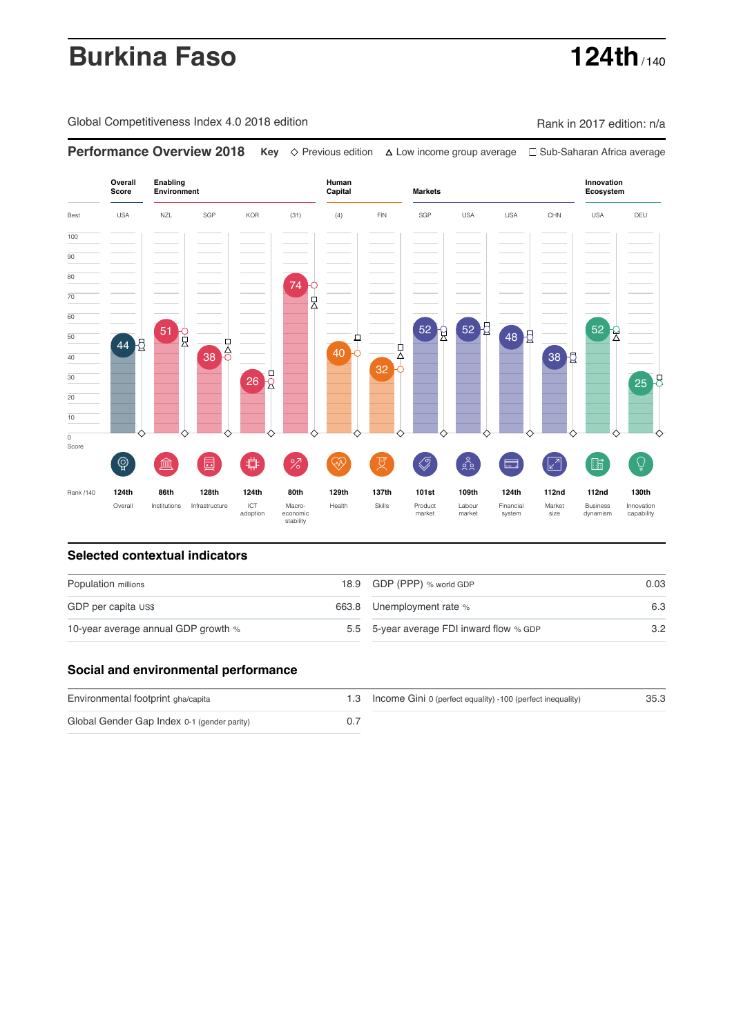# **Burkina Faso 124th**  $\frac{124th}{140}$

Global Competitiveness Index 4.0 2018 edition Company Company Rank in 2017 edition: n/a

**Performance Overview 2018** Key ◇ Previous edition A Low income group average □ Sub-Saharan Africa average

**Human Overall Enabling Environment Innovation Ecosystem Capital Markets Score** Best USA NZL SGP KOR (31) (4) FIN SGP USA USA CHN USA DEU 100 90 80 74 70 , 60  $52 \frac{1}{2}$   $52 \frac{1}{2}$  $52)$  $51<sub>0</sub>$ 48 5 50  $40<sup>1</sup>$  $38<sup>h</sup>$ 44 8 유  $\overline{40}$ 38 2 32  $26<sup>1</sup>$ 30 25 8 20 10  $\overline{0}$ Score ៍{៌្សិ  $\heartsuit$  $\frac{8}{20}$  $\sqrt{2}$ **ledge (** 歮 %  $\Box$ 酯  $\overline{Q}$ 圓  $\widetilde{\rightsquigarrow}$ ਲੁ Rank /140 **124th 86th 128th 124th 80th 129th 137th 101st 109th 124th 112nd 112nd 130th** ICT Macro-<br>adoption economic Overall Institutions Infrastructure Health Skills Product market Labour<br>market Financial system Market size Business dynamism Innovation capability wacio-<br>economic<br>stability

### **Selected contextual indicators**

| Population millions                 | 18.9 GDP (PPP) % world GDP               | 0.03 |  |
|-------------------------------------|------------------------------------------|------|--|
| GDP per capita US\$                 | 663.8 Unemployment rate %                | 6.3  |  |
| 10-year average annual GDP growth % | 5.5 5-year average FDI inward flow % GDP | 3.2  |  |

### **Social and environmental performance**

| Environmental footprint gha/capita          |  | 1.3 Income Gini 0 (perfect equality) -100 (perfect inequality) | 35.3 |
|---------------------------------------------|--|----------------------------------------------------------------|------|
| Global Gender Gap Index 0-1 (gender parity) |  |                                                                |      |



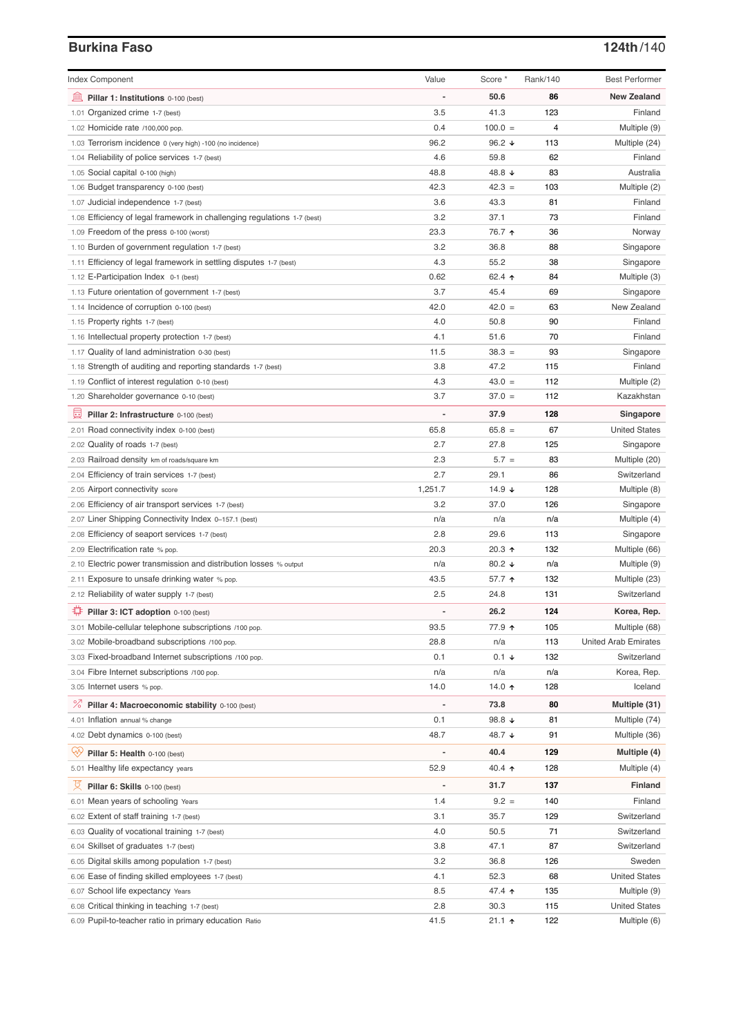# **Burkina Faso 124th**/140

| <b>Index Component</b>                                                   | Value          | Score *         | Rank/140 | <b>Best Performer</b>       |
|--------------------------------------------------------------------------|----------------|-----------------|----------|-----------------------------|
| Pillar 1: Institutions 0-100 (best)                                      |                | 50.6            | 86       | <b>New Zealand</b>          |
| 1.01 Organized crime 1-7 (best)                                          | 3.5            | 41.3            | 123      | Finland                     |
| 1.02 Homicide rate /100,000 pop.                                         | 0.4            | $100.0 =$       | 4        | Multiple (9)                |
| 1.03 Terrorism incidence 0 (very high) -100 (no incidence)               | 96.2           | 96.2 $\sqrt{ }$ | 113      | Multiple (24)               |
| 1.04 Reliability of police services 1-7 (best)                           | 4.6            | 59.8            | 62       | Finland                     |
| 1.05 Social capital 0-100 (high)                                         | 48.8           | 48.8 ↓          | 83       | Australia                   |
| 1.06 Budget transparency 0-100 (best)                                    | 42.3           | $42.3 =$        | 103      | Multiple (2)                |
| 1.07 Judicial independence 1-7 (best)                                    | 3.6            | 43.3            | 81       | Finland                     |
| 1.08 Efficiency of legal framework in challenging regulations 1-7 (best) | 3.2            | 37.1            | 73       | Finland                     |
| 1.09 Freedom of the press 0-100 (worst)                                  | 23.3           | 76.7 ↑          | 36       | Norway                      |
| 1.10 Burden of government regulation 1-7 (best)                          | 3.2            | 36.8            | 88       | Singapore                   |
| 1.11 Efficiency of legal framework in settling disputes 1-7 (best)       | 4.3            | 55.2            | 38       | Singapore                   |
| 1.12 E-Participation Index 0-1 (best)                                    | 0.62           | 62.4 $\uparrow$ | 84       | Multiple (3)                |
| 1.13 Future orientation of government 1-7 (best)                         | 3.7            | 45.4            | 69       | Singapore                   |
| 1.14 Incidence of corruption 0-100 (best)                                | 42.0           | $42.0 =$        | 63       | New Zealand                 |
| 1.15 Property rights 1-7 (best)                                          | 4.0            | 50.8            | 90       | Finland                     |
| 1.16 Intellectual property protection 1-7 (best)                         | 4.1            | 51.6            | 70       | Finland                     |
| 1.17 Quality of land administration 0-30 (best)                          | 11.5           | $38.3 =$        | 93       | Singapore                   |
| 1.18 Strength of auditing and reporting standards 1-7 (best)             | 3.8            | 47.2            | 115      | Finland                     |
| 1.19 Conflict of interest regulation 0-10 (best)                         | 4.3            | $43.0 =$        | 112      | Multiple (2)                |
| 1.20 Shareholder governance 0-10 (best)                                  | 3.7            | $37.0 =$        | 112      | Kazakhstan                  |
|                                                                          |                |                 |          |                             |
| Pillar 2: Infrastructure 0-100 (best)                                    |                | 37.9            | 128      | Singapore                   |
| 2.01 Road connectivity index 0-100 (best)                                | 65.8           | $65.8 =$        | 67       | <b>United States</b>        |
| 2.02 Quality of roads 1-7 (best)                                         | 2.7            | 27.8            | 125      | Singapore                   |
| 2.03 Railroad density km of roads/square km                              | 2.3            | $5.7 =$         | 83       | Multiple (20)               |
| 2.04 Efficiency of train services 1-7 (best)                             | 2.7            | 29.1            | 86       | Switzerland                 |
| 2.05 Airport connectivity score                                          | 1,251.7        | 14.9 $\sqrt{ }$ | 128      | Multiple (8)                |
| 2.06 Efficiency of air transport services 1-7 (best)                     | 3.2            | 37.0            | 126      | Singapore                   |
| 2.07 Liner Shipping Connectivity Index 0-157.1 (best)                    | n/a            | n/a             | n/a      | Multiple (4)                |
| 2.08 Efficiency of seaport services 1-7 (best)                           | 2.8            | 29.6            | 113      | Singapore                   |
| 2.09 Electrification rate % pop.                                         | 20.3           | 20.3 $\uparrow$ | 132      | Multiple (66)               |
| 2.10 Electric power transmission and distribution losses % output        | n/a            | 80.2 $\sqrt{ }$ | n/a      | Multiple (9)                |
| 2.11 Exposure to unsafe drinking water % pop.                            | 43.5           | 57.7 1          | 132      | Multiple (23)               |
| 2.12 Reliability of water supply 1-7 (best)                              | 2.5            | 24.8            | 131      | Switzerland                 |
| Pillar 3: ICT adoption 0-100 (best)                                      |                | 26.2            | 124      | Korea, Rep.                 |
| 3.01 Mobile-cellular telephone subscriptions /100 pop.                   | 93.5           | 77.9 ↑          | 105      | Multiple (68)               |
| 3.02 Mobile-broadband subscriptions /100 pop.                            | 28.8           | n/a             | 113      | <b>United Arab Emirates</b> |
| 3.03 Fixed-broadband Internet subscriptions /100 pop.                    | 0.1            | $0.1 +$         | 132      | Switzerland                 |
| 3.04 Fibre Internet subscriptions /100 pop.                              | n/a            | n/a             | n/a      | Korea, Rep.                 |
| 3.05 Internet users % pop.                                               | 14.0           | 14.0 ተ          | 128      | Iceland                     |
| ℅<br>Pillar 4: Macroeconomic stability 0-100 (best)                      | $\overline{a}$ | 73.8            | 80       | Multiple (31)               |
| 4.01 Inflation annual % change                                           | 0.1            | 98.8 ↓          | 81       | Multiple (74)               |
|                                                                          | 48.7           | 48.7 ↓          | 91       |                             |
| 4.02 Debt dynamics 0-100 (best)                                          |                |                 |          | Multiple (36)               |
| Qiy<br>Pillar 5: Health 0-100 (best)                                     |                | 40.4            | 129      | Multiple (4)                |
| 5.01 Healthy life expectancy years                                       | 52.9           | 40.4 $\uparrow$ | 128      | Multiple (4)                |
| 섯<br>Pillar 6: Skills 0-100 (best)                                       | $\overline{a}$ | 31.7            | 137      | <b>Finland</b>              |
| 6.01 Mean years of schooling Years                                       | 1.4            | $9.2 =$         | 140      | Finland                     |
| 6.02 Extent of staff training 1-7 (best)                                 | 3.1            | 35.7            | 129      | Switzerland                 |
| 6.03 Quality of vocational training 1-7 (best)                           | 4.0            | 50.5            | 71       | Switzerland                 |
| 6.04 Skillset of graduates 1-7 (best)                                    | 3.8            | 47.1            | 87       | Switzerland                 |
| 6.05 Digital skills among population 1-7 (best)                          | 3.2            | 36.8            | 126      | Sweden                      |
| 6.06 Ease of finding skilled employees 1-7 (best)                        | 4.1            | 52.3            | 68       | <b>United States</b>        |
| 6.07 School life expectancy Years                                        | 8.5            | 47.4 1          | 135      | Multiple (9)                |
| 6.08 Critical thinking in teaching 1-7 (best)                            | 2.8            | 30.3            | 115      | <b>United States</b>        |
| 6.09 Pupil-to-teacher ratio in primary education Ratio                   | 41.5           | $21.1$ 1        | 122      | Multiple (6)                |